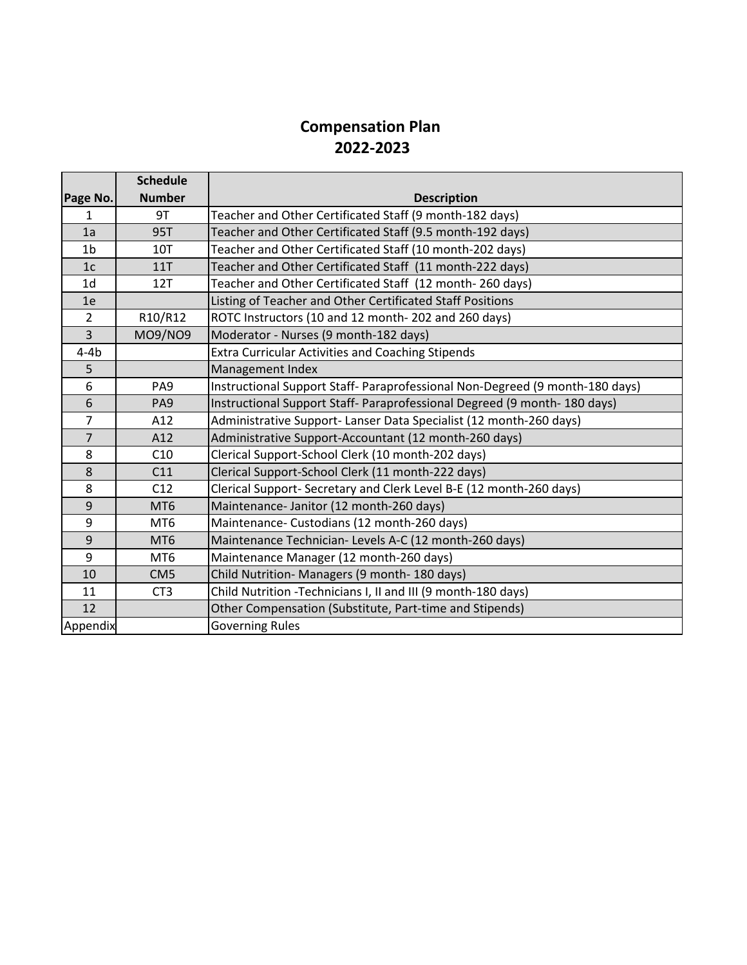# **Compensation Plan 2022-2023**

|                | <b>Schedule</b> |                                                                              |
|----------------|-----------------|------------------------------------------------------------------------------|
| Page No.       | <b>Number</b>   | <b>Description</b>                                                           |
| 1              | 9T              | Teacher and Other Certificated Staff (9 month-182 days)                      |
| 1a             | <b>95T</b>      | Teacher and Other Certificated Staff (9.5 month-192 days)                    |
| 1 <sub>b</sub> | <b>10T</b>      | Teacher and Other Certificated Staff (10 month-202 days)                     |
| 1 <sub>c</sub> | <b>11T</b>      | Teacher and Other Certificated Staff (11 month-222 days)                     |
| 1 <sub>d</sub> | 12T             | Teacher and Other Certificated Staff (12 month-260 days)                     |
| 1e             |                 | Listing of Teacher and Other Certificated Staff Positions                    |
| $\overline{2}$ | R10/R12         | ROTC Instructors (10 and 12 month-202 and 260 days)                          |
| 3              | <b>MO9/NO9</b>  | Moderator - Nurses (9 month-182 days)                                        |
| $4-4b$         |                 | <b>Extra Curricular Activities and Coaching Stipends</b>                     |
| 5              |                 | Management Index                                                             |
| 6              | PA <sub>9</sub> | Instructional Support Staff- Paraprofessional Non-Degreed (9 month-180 days) |
| 6              | PA <sub>9</sub> | Instructional Support Staff- Paraprofessional Degreed (9 month- 180 days)    |
| $\overline{7}$ | A12             | Administrative Support- Lanser Data Specialist (12 month-260 days)           |
| $\overline{7}$ | A12             | Administrative Support-Accountant (12 month-260 days)                        |
| 8              | C10             | Clerical Support-School Clerk (10 month-202 days)                            |
| 8              | C11             | Clerical Support-School Clerk (11 month-222 days)                            |
| 8              | C12             | Clerical Support- Secretary and Clerk Level B-E (12 month-260 days)          |
| 9              | MT <sub>6</sub> | Maintenance- Janitor (12 month-260 days)                                     |
| 9              | MT <sub>6</sub> | Maintenance- Custodians (12 month-260 days)                                  |
| 9              | MT <sub>6</sub> | Maintenance Technician- Levels A-C (12 month-260 days)                       |
| 9              | MT <sub>6</sub> | Maintenance Manager (12 month-260 days)                                      |
| 10             | CM <sub>5</sub> | Child Nutrition- Managers (9 month- 180 days)                                |
| 11             | CT <sub>3</sub> | Child Nutrition -Technicians I, II and III (9 month-180 days)                |
| 12             |                 | Other Compensation (Substitute, Part-time and Stipends)                      |
| Appendix       |                 | <b>Governing Rules</b>                                                       |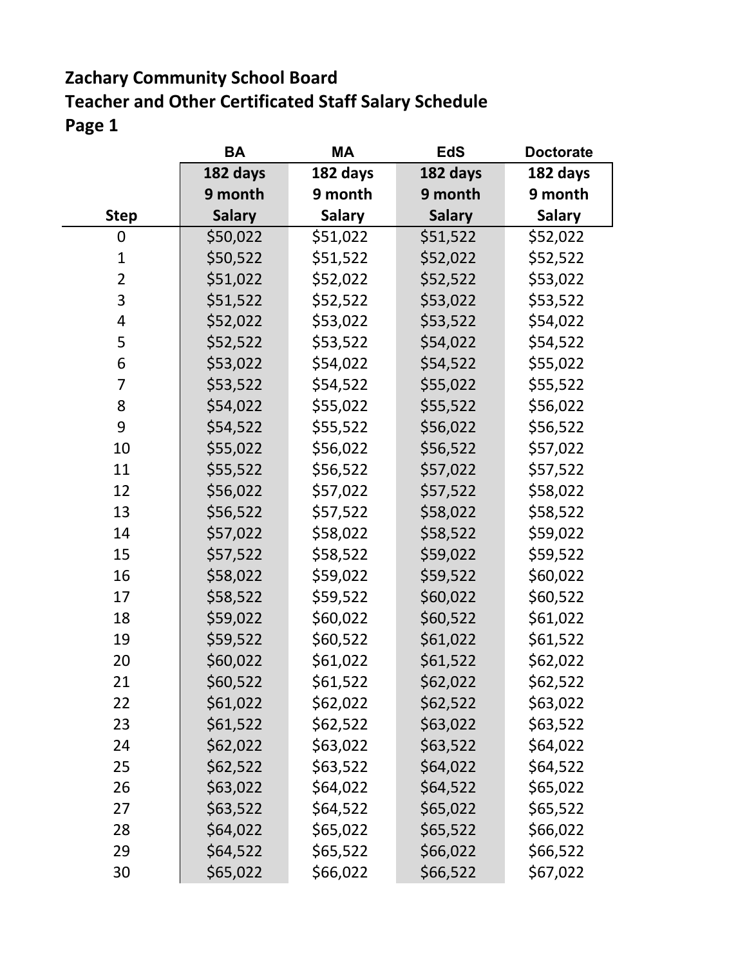### **Zachary Community School Board Teacher and Other Certificated Staff Salary Schedule Page 1**

|                | <b>BA</b>     | <b>MA</b>     | <b>EdS</b>    | <b>Doctorate</b> |
|----------------|---------------|---------------|---------------|------------------|
|                | 182 days      | 182 days      | 182 days      | 182 days         |
|                | 9 month       | 9 month       | 9 month       | 9 month          |
| <b>Step</b>    | <b>Salary</b> | <b>Salary</b> | <b>Salary</b> | <b>Salary</b>    |
| 0              | \$50,022      | \$51,022      | \$51,522      | \$52,022         |
| $\mathbf 1$    | \$50,522      | \$51,522      | \$52,022      | \$52,522         |
| $\overline{2}$ | \$51,022      | \$52,022      | \$52,522      | \$53,022         |
| 3              | \$51,522      | \$52,522      | \$53,022      | \$53,522         |
| 4              | \$52,022      | \$53,022      | \$53,522      | \$54,022         |
| 5              | \$52,522      | \$53,522      | \$54,022      | \$54,522         |
| 6              | \$53,022      | \$54,022      | \$54,522      | \$55,022         |
| $\overline{7}$ | \$53,522      | \$54,522      | \$55,022      | \$55,522         |
| 8              | \$54,022      | \$55,022      | \$55,522      | \$56,022         |
| 9              | \$54,522      | \$55,522      | \$56,022      | \$56,522         |
| 10             | \$55,022      | \$56,022      | \$56,522      | \$57,022         |
| 11             | \$55,522      | \$56,522      | \$57,022      | \$57,522         |
| 12             | \$56,022      | \$57,022      | \$57,522      | \$58,022         |
| 13             | \$56,522      | \$57,522      | \$58,022      | \$58,522         |
| 14             | \$57,022      | \$58,022      | \$58,522      | \$59,022         |
| 15             | \$57,522      | \$58,522      | \$59,022      | \$59,522         |
| 16             | \$58,022      | \$59,022      | \$59,522      | \$60,022         |
| 17             | \$58,522      | \$59,522      | \$60,022      | \$60,522         |
| 18             | \$59,022      | \$60,022      | \$60,522      | \$61,022         |
| 19             | \$59,522      | \$60,522      | \$61,022      | \$61,522         |
| 20             | \$60,022      | \$61,022      | \$61,522      | \$62,022         |
| 21             | \$60,522      | \$61,522      | \$62,022      | \$62,522         |
| 22             | \$61,022      | \$62,022      | \$62,522      | \$63,022         |
| 23             | \$61,522      | \$62,522      | \$63,022      | \$63,522         |
| 24             | \$62,022      | \$63,022      | \$63,522      | \$64,022         |
| 25             | \$62,522      | \$63,522      | \$64,022      | \$64,522         |
| 26             | \$63,022      | \$64,022      | \$64,522      | \$65,022         |
| 27             | \$63,522      | \$64,522      | \$65,022      | \$65,522         |
| 28             | \$64,022      | \$65,022      | \$65,522      | \$66,022         |
| 29             | \$64,522      | \$65,522      | \$66,022      | \$66,522         |
| 30             | \$65,022      | \$66,022      | \$66,522      | \$67,022         |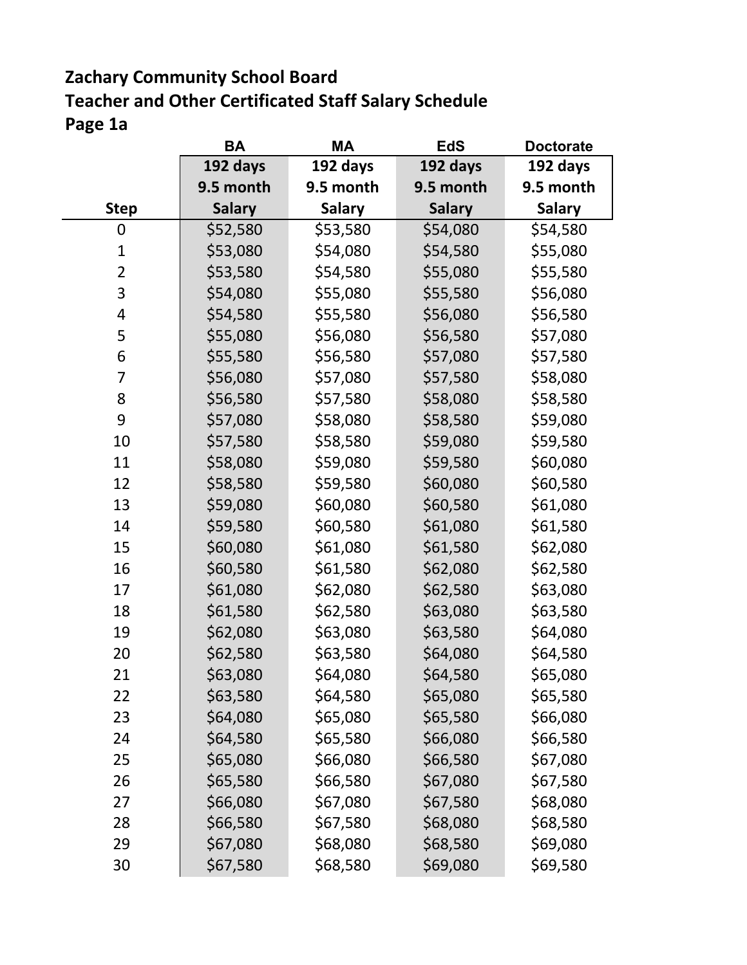### **Zachary Community School Board Page 1a Teacher and Other Certificated Staff Salary Schedule**

|                | BA            | МA            | EdS           | <b>Doctorate</b> |
|----------------|---------------|---------------|---------------|------------------|
|                | 192 days      | 192 days      | 192 days      | 192 days         |
|                | 9.5 month     | 9.5 month     | 9.5 month     | 9.5 month        |
| <b>Step</b>    | <b>Salary</b> | <b>Salary</b> | <b>Salary</b> | <b>Salary</b>    |
| 0              | \$52,580      | \$53,580      | \$54,080      | \$54,580         |
| $\mathbf{1}$   | \$53,080      | \$54,080      | \$54,580      | \$55,080         |
| $\overline{2}$ | \$53,580      | \$54,580      | \$55,080      | \$55,580         |
| 3              | \$54,080      | \$55,080      | \$55,580      | \$56,080         |
| 4              | \$54,580      | \$55,580      | \$56,080      | \$56,580         |
| 5              | \$55,080      | \$56,080      | \$56,580      | \$57,080         |
| 6              | \$55,580      | \$56,580      | \$57,080      | \$57,580         |
| 7              | \$56,080      | \$57,080      | \$57,580      | \$58,080         |
| 8              | \$56,580      | \$57,580      | \$58,080      | \$58,580         |
| 9              | \$57,080      | \$58,080      | \$58,580      | \$59,080         |
| 10             | \$57,580      | \$58,580      | \$59,080      | \$59,580         |
| 11             | \$58,080      | \$59,080      | \$59,580      | \$60,080         |
| 12             | \$58,580      | \$59,580      | \$60,080      | \$60,580         |
| 13             | \$59,080      | \$60,080      | \$60,580      | \$61,080         |
| 14             | \$59,580      | \$60,580      | \$61,080      | \$61,580         |
| 15             | \$60,080      | \$61,080      | \$61,580      | \$62,080         |
| 16             | \$60,580      | \$61,580      | \$62,080      | \$62,580         |
| 17             | \$61,080      | \$62,080      | \$62,580      | \$63,080         |
| 18             | \$61,580      | \$62,580      | \$63,080      | \$63,580         |
| 19             | \$62,080      | \$63,080      | \$63,580      | \$64,080         |
| 20             | \$62,580      | \$63,580      | \$64,080      | \$64,580         |
| 21             | \$63,080      | \$64,080      | \$64,580      | \$65,080         |
| 22             | \$63,580      | \$64,580      | \$65,080      | \$65,580         |
| 23             | \$64,080      | \$65,080      | \$65,580      | \$66,080         |
| 24             | \$64,580      | \$65,580      | \$66,080      | \$66,580         |
| 25             | \$65,080      | \$66,080      | \$66,580      | \$67,080         |
| 26             | \$65,580      | \$66,580      | \$67,080      | \$67,580         |
| 27             | \$66,080      | \$67,080      | \$67,580      | \$68,080         |
| 28             | \$66,580      | \$67,580      | \$68,080      | \$68,580         |
| 29             | \$67,080      | \$68,080      | \$68,580      | \$69,080         |
| 30             | \$67,580      | \$68,580      | \$69,080      | \$69,580         |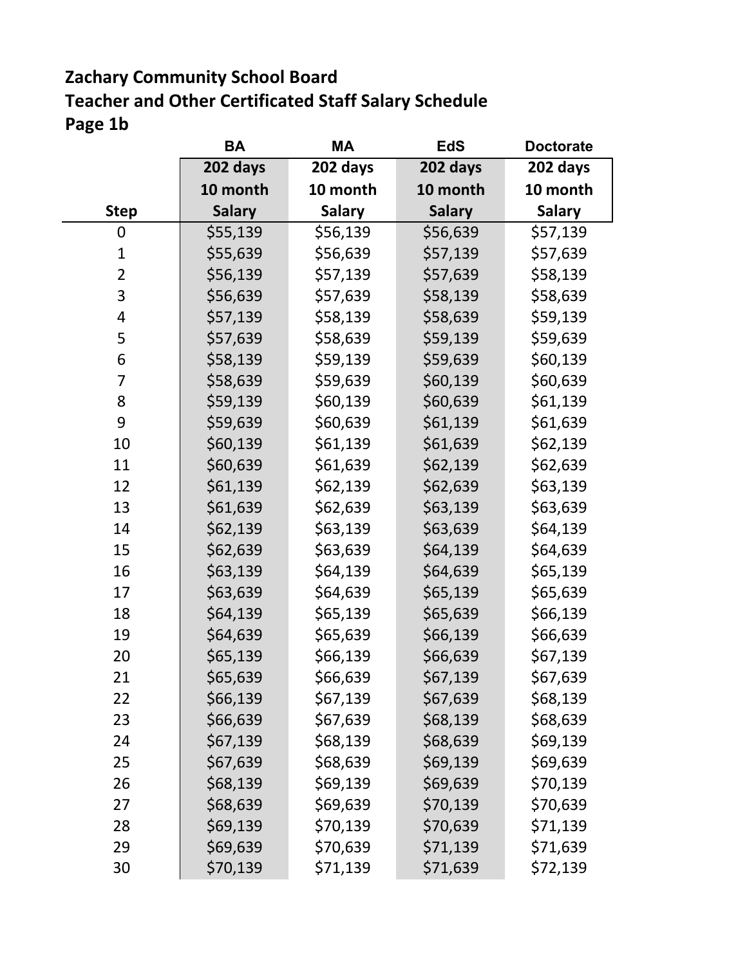### **Zachary Community School Board Page 1b Teacher and Other Certificated Staff Salary Schedule**

|                | BА            | МA            | EdS           | <b>Doctorate</b> |
|----------------|---------------|---------------|---------------|------------------|
|                | 202 days      | 202 days      | 202 days      | 202 days         |
|                | 10 month      | 10 month      | 10 month      | 10 month         |
| <b>Step</b>    | <b>Salary</b> | <b>Salary</b> | <b>Salary</b> | <b>Salary</b>    |
| 0              | \$55,139      | \$56,139      | \$56,639      | \$57,139         |
| $\mathbf{1}$   | \$55,639      | \$56,639      | \$57,139      | \$57,639         |
| $\overline{2}$ | \$56,139      | \$57,139      | \$57,639      | \$58,139         |
| 3              | \$56,639      | \$57,639      | \$58,139      | \$58,639         |
| 4              | \$57,139      | \$58,139      | \$58,639      | \$59,139         |
| 5              | \$57,639      | \$58,639      | \$59,139      | \$59,639         |
| 6              | \$58,139      | \$59,139      | \$59,639      | \$60,139         |
| 7              | \$58,639      | \$59,639      | \$60,139      | \$60,639         |
| 8              | \$59,139      | \$60,139      | \$60,639      | \$61,139         |
| 9              | \$59,639      | \$60,639      | \$61,139      | \$61,639         |
| 10             | \$60,139      | \$61,139      | \$61,639      | \$62,139         |
| 11             | \$60,639      | \$61,639      | \$62,139      | \$62,639         |
| 12             | \$61,139      | \$62,139      | \$62,639      | \$63,139         |
| 13             | \$61,639      | \$62,639      | \$63,139      | \$63,639         |
| 14             | \$62,139      | \$63,139      | \$63,639      | \$64,139         |
| 15             | \$62,639      | \$63,639      | \$64,139      | \$64,639         |
| 16             | \$63,139      | \$64,139      | \$64,639      | \$65,139         |
| 17             | \$63,639      | \$64,639      | \$65,139      | \$65,639         |
| 18             | \$64,139      | \$65,139      | \$65,639      | \$66,139         |
| 19             | \$64,639      | \$65,639      | \$66,139      | \$66,639         |
| 20             | \$65,139      | \$66,139      | \$66,639      | \$67,139         |
| 21             | \$65,639      | \$66,639      | \$67,139      | \$67,639         |
| 22             | \$66,139      | \$67,139      | \$67,639      | \$68,139         |
| 23             | \$66,639      | \$67,639      | \$68,139      | \$68,639         |
| 24             | \$67,139      | \$68,139      | \$68,639      | \$69,139         |
| 25             | \$67,639      | \$68,639      | \$69,139      | \$69,639         |
| 26             | \$68,139      | \$69,139      | \$69,639      | \$70,139         |
| 27             | \$68,639      | \$69,639      | \$70,139      | \$70,639         |
| 28             | \$69,139      | \$70,139      | \$70,639      | \$71,139         |
| 29             | \$69,639      | \$70,639      | \$71,139      | \$71,639         |
| 30             | \$70,139      | \$71,139      | \$71,639      | \$72,139         |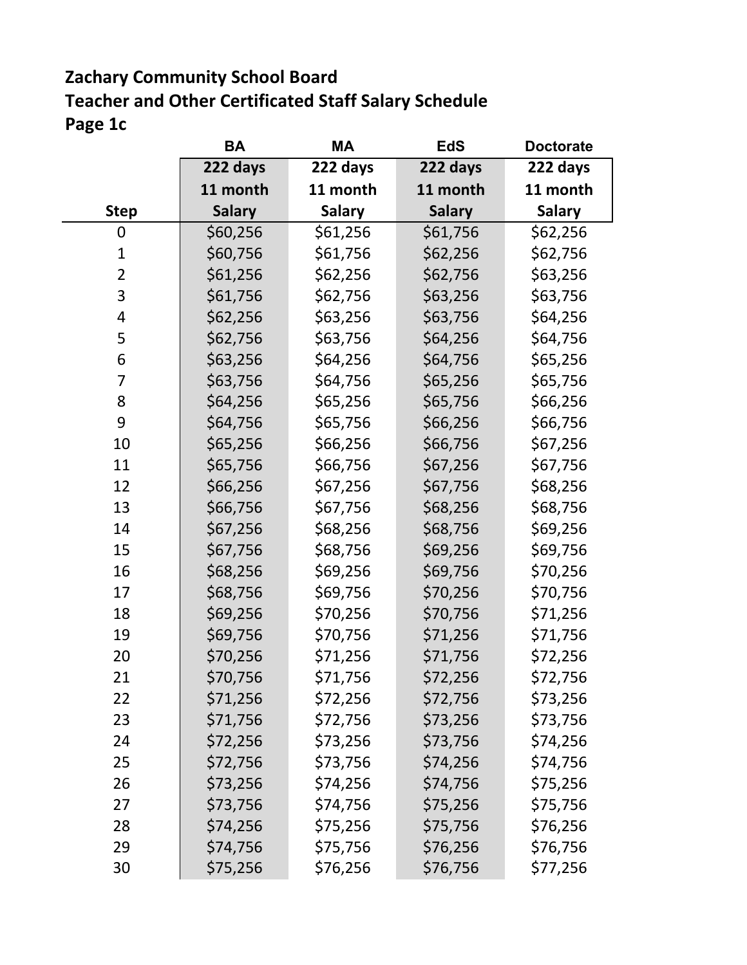### **Zachary Community School Board Page 1c Teacher and Other Certificated Staff Salary Schedule**

|                | BА            | МA            | EdS           | <b>Doctorate</b> |
|----------------|---------------|---------------|---------------|------------------|
|                | 222 days      | 222 days      | 222 days      | 222 days         |
|                | 11 month      | 11 month      | 11 month      | 11 month         |
| <b>Step</b>    | <b>Salary</b> | <b>Salary</b> | <b>Salary</b> | <b>Salary</b>    |
| 0              | \$60,256      | \$61,256      | \$61,756      | \$62,256         |
| $\mathbf 1$    | \$60,756      | \$61,756      | \$62,256      | \$62,756         |
| $\overline{2}$ | \$61,256      | \$62,256      | \$62,756      | \$63,256         |
| 3              | \$61,756      | \$62,756      | \$63,256      | \$63,756         |
| 4              | \$62,256      | \$63,256      | \$63,756      | \$64,256         |
| 5              | \$62,756      | \$63,756      | \$64,256      | \$64,756         |
| 6              | \$63,256      | \$64,256      | \$64,756      | \$65,256         |
| 7              | \$63,756      | \$64,756      | \$65,256      | \$65,756         |
| 8              | \$64,256      | \$65,256      | \$65,756      | \$66,256         |
| 9              | \$64,756      | \$65,756      | \$66,256      | \$66,756         |
| 10             | \$65,256      | \$66,256      | \$66,756      | \$67,256         |
| 11             | \$65,756      | \$66,756      | \$67,256      | \$67,756         |
| 12             | \$66,256      | \$67,256      | \$67,756      | \$68,256         |
| 13             | \$66,756      | \$67,756      | \$68,256      | \$68,756         |
| 14             | \$67,256      | \$68,256      | \$68,756      | \$69,256         |
| 15             | \$67,756      | \$68,756      | \$69,256      | \$69,756         |
| 16             | \$68,256      | \$69,256      | \$69,756      | \$70,256         |
| 17             | \$68,756      | \$69,756      | \$70,256      | \$70,756         |
| 18             | \$69,256      | \$70,256      | \$70,756      | \$71,256         |
| 19             | \$69,756      | \$70,756      | \$71,256      | \$71,756         |
| 20             | \$70,256      | \$71,256      | \$71,756      | \$72,256         |
| 21             | \$70,756      | \$71,756      | \$72,256      | \$72,756         |
| 22             | \$71,256      | \$72,256      | \$72,756      | \$73,256         |
| 23             | \$71,756      | \$72,756      | \$73,256      | \$73,756         |
| 24             | \$72,256      | \$73,256      | \$73,756      | \$74,256         |
| 25             | \$72,756      | \$73,756      | \$74,256      | \$74,756         |
| 26             | \$73,256      | \$74,256      | \$74,756      | \$75,256         |
| 27             | \$73,756      | \$74,756      | \$75,256      | \$75,756         |
| 28             | \$74,256      | \$75,256      | \$75,756      | \$76,256         |
| 29             | \$74,756      | \$75,756      | \$76,256      | \$76,756         |
| 30             | \$75,256      | \$76,256      | \$76,756      | \$77,256         |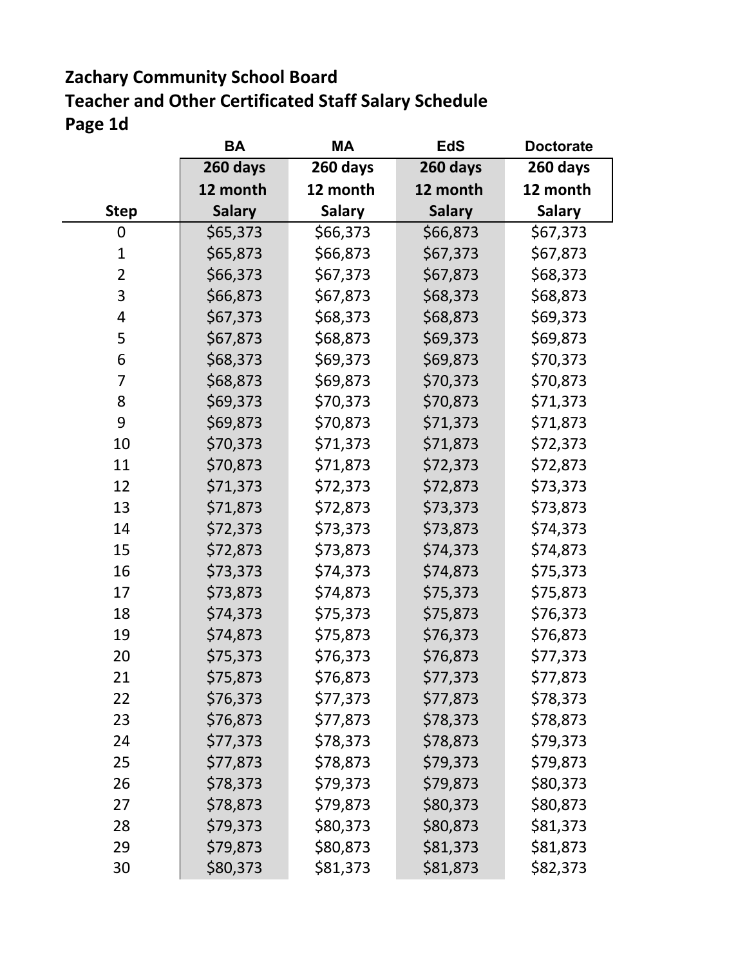### **Zachary Community School Board Page 1d Teacher and Other Certificated Staff Salary Schedule**

 $\sim 10^{-1}$ 

|                | BА            | МA            | EdS           | <b>Doctorate</b> |
|----------------|---------------|---------------|---------------|------------------|
|                | 260 days      | 260 days      | 260 days      | 260 days         |
|                | 12 month      | 12 month      | 12 month      | 12 month         |
| <b>Step</b>    | <b>Salary</b> | <b>Salary</b> | <b>Salary</b> | <b>Salary</b>    |
| 0              | \$65,373      | \$66,373      | \$66,873      | \$67,373         |
| $\mathbf 1$    | \$65,873      | \$66,873      | \$67,373      | \$67,873         |
| $\overline{2}$ | \$66,373      | \$67,373      | \$67,873      | \$68,373         |
| 3              | \$66,873      | \$67,873      | \$68,373      | \$68,873         |
| 4              | \$67,373      | \$68,373      | \$68,873      | \$69,373         |
| 5              | \$67,873      | \$68,873      | \$69,373      | \$69,873         |
| 6              | \$68,373      | \$69,373      | \$69,873      | \$70,373         |
| 7              | \$68,873      | \$69,873      | \$70,373      | \$70,873         |
| 8              | \$69,373      | \$70,373      | \$70,873      | \$71,373         |
| 9              | \$69,873      | \$70,873      | \$71,373      | \$71,873         |
| 10             | \$70,373      | \$71,373      | \$71,873      | \$72,373         |
| 11             | \$70,873      | \$71,873      | \$72,373      | \$72,873         |
| 12             | \$71,373      | \$72,373      | \$72,873      | \$73,373         |
| 13             | \$71,873      | \$72,873      | \$73,373      | \$73,873         |
| 14             | \$72,373      | \$73,373      | \$73,873      | \$74,373         |
| 15             | \$72,873      | \$73,873      | \$74,373      | \$74,873         |
| 16             | \$73,373      | \$74,373      | \$74,873      | \$75,373         |
| 17             | \$73,873      | \$74,873      | \$75,373      | \$75,873         |
| 18             | \$74,373      | \$75,373      | \$75,873      | \$76,373         |
| 19             | \$74,873      | \$75,873      | \$76,373      | \$76,873         |
| 20             | \$75,373      | \$76,373      | \$76,873      | \$77,373         |
| 21             | \$75,873      | \$76,873      | \$77,373      | \$77,873         |
| 22             | \$76,373      | \$77,373      | \$77,873      | \$78,373         |
| 23             | \$76,873      | \$77,873      | \$78,373      | \$78,873         |
| 24             | \$77,373      | \$78,373      | \$78,873      | \$79,373         |
| 25             | \$77,873      | \$78,873      | \$79,373      | \$79,873         |
| 26             | \$78,373      | \$79,373      | \$79,873      | \$80,373         |
| 27             | \$78,873      | \$79,873      | \$80,373      | \$80,873         |
| 28             | \$79,373      | \$80,373      | \$80,873      | \$81,373         |
| 29             | \$79,873      | \$80,873      | \$81,373      | \$81,873         |
| 30             | \$80,373      | \$81,373      | \$81,873      | \$82,373         |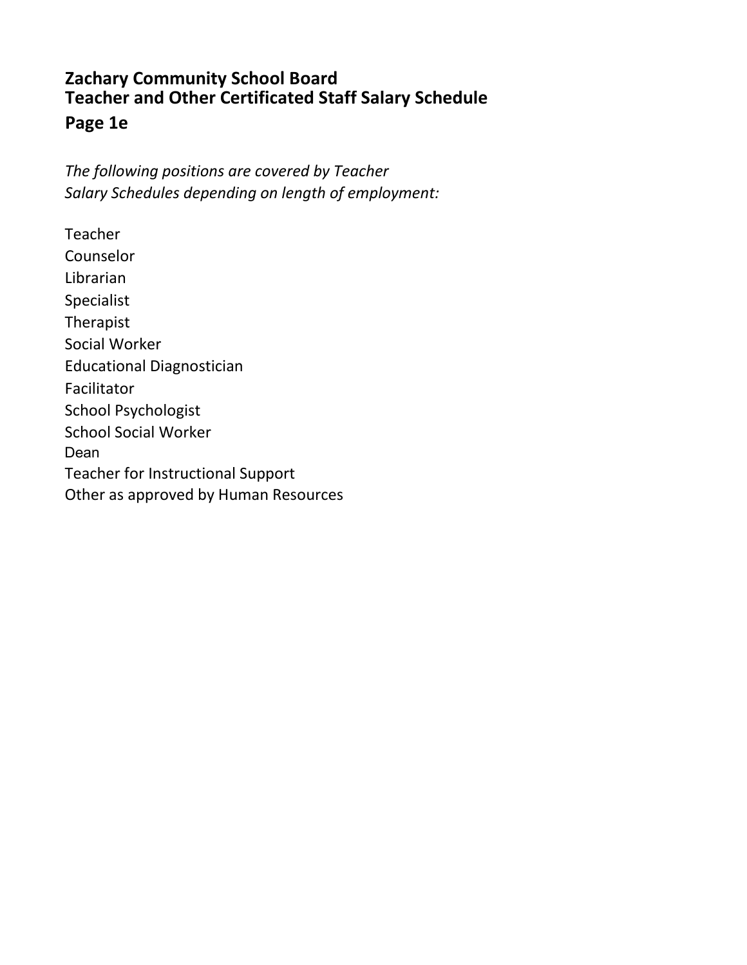#### **Zachary Community School Board Page 1e Teacher and Other Certificated Staff Salary Schedule**

*The following positions are covered by Teacher Salary Schedules depending on length of employment:*

Counselor Librarian Specialist Therapist Social Worker Educational Diagnostician Facilitator School Psychologist School Social Worker Dean Teacher for Instructional Support Other as approved by Human Resources Teacher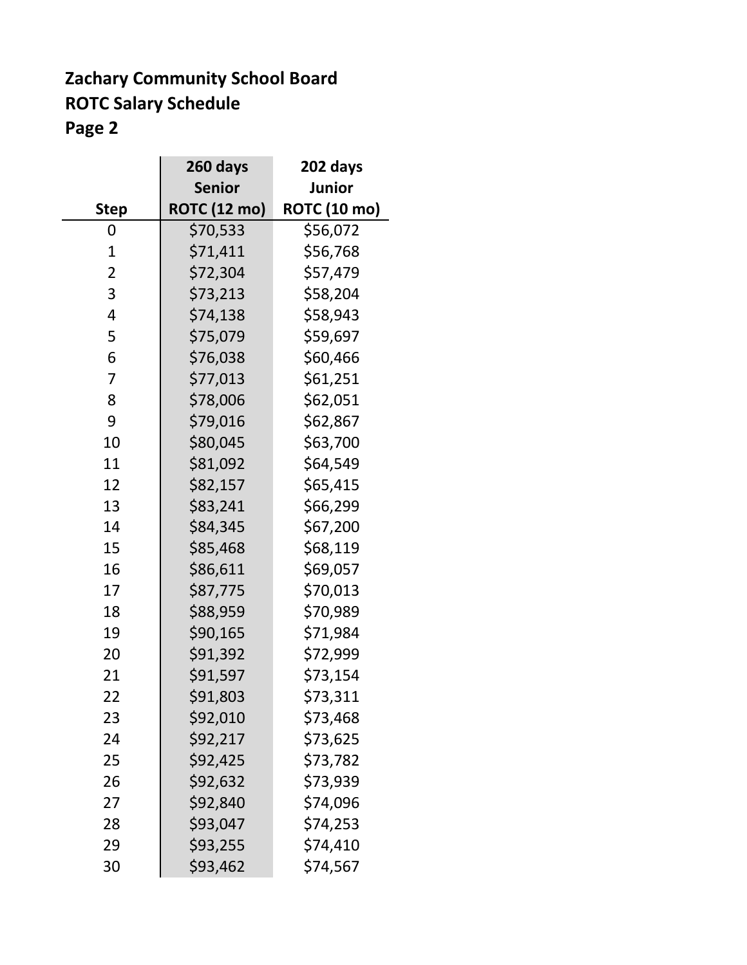### **Zachary Community School Board ROTC Salary Schedule Page 2**

|                | 260 days            | 202 days            |
|----------------|---------------------|---------------------|
|                | <b>Senior</b>       | <b>Junior</b>       |
| <b>Step</b>    | <b>ROTC (12 mo)</b> | <b>ROTC (10 mo)</b> |
| 0              | \$70,533            | \$56,072            |
| $\mathbf 1$    | \$71,411            | \$56,768            |
| $\overline{2}$ | \$72,304            | \$57,479            |
| 3              | \$73,213            | \$58,204            |
| $\overline{4}$ | \$74,138            | \$58,943            |
| 5              | \$75,079            | \$59,697            |
| 6              | \$76,038            | \$60,466            |
| 7              | \$77,013            | \$61,251            |
| 8              | \$78,006            | \$62,051            |
| 9              | \$79,016            | \$62,867            |
| 10             | \$80,045            | \$63,700            |
| 11             | \$81,092            | \$64,549            |
| 12             | \$82,157            | \$65,415            |
| 13             | \$83,241            | \$66,299            |
| 14             | \$84,345            | \$67,200            |
| 15             | \$85,468            | \$68,119            |
| 16             | \$86,611            | \$69,057            |
| 17             | \$87,775            | \$70,013            |
| 18             | \$88,959            | \$70,989            |
| 19             | \$90,165            | \$71,984            |
| 20             | \$91,392            | \$72,999            |
| 21             | \$91,597            | \$73,154            |
| 22             | \$91,803            | \$73,311            |
| 23             | \$92,010            | \$73,468            |
| 24             | \$92,217            | \$73,625            |
| 25             | \$92,425            | \$73,782            |
| 26             | \$92,632            | \$73,939            |
| 27             | \$92,840            | \$74,096            |
| 28             | \$93,047            | \$74,253            |
| 29             | \$93,255            | \$74,410            |
| 30             | \$93,462            | \$74,567            |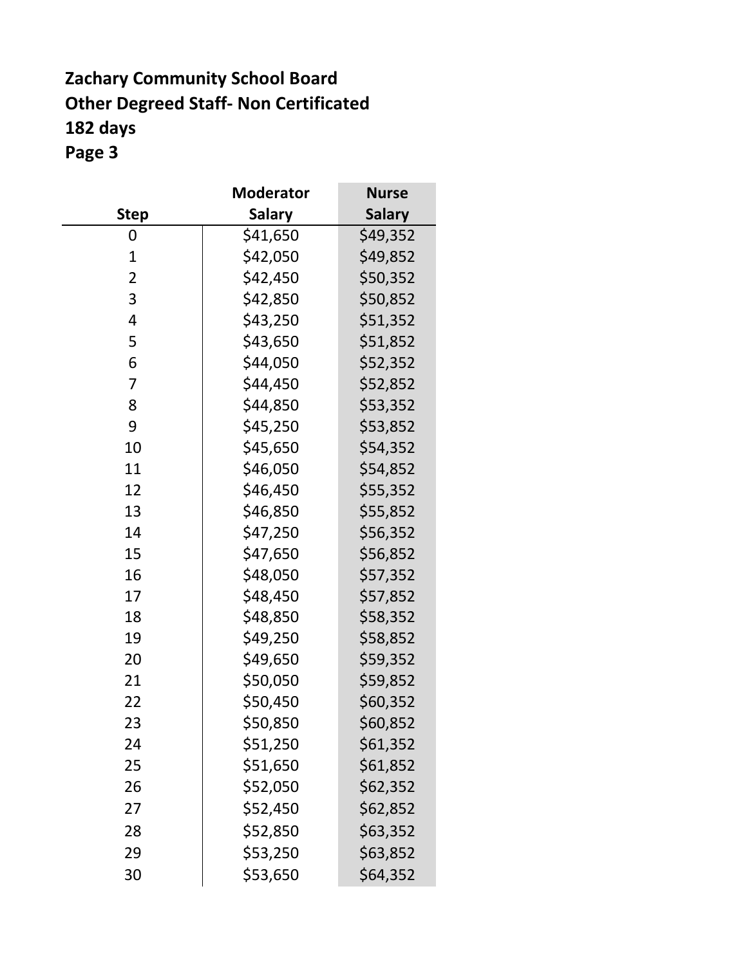### **Zachary Community School Board Other Degreed Staff- Non Certificated 182 days Page 3**

|                | <b>Moderator</b> | <b>Nurse</b>  |
|----------------|------------------|---------------|
| <b>Step</b>    | <b>Salary</b>    | <b>Salary</b> |
| 0              | \$41,650         | \$49,352      |
| $\mathbf{1}$   | \$42,050         | \$49,852      |
| $\overline{2}$ | \$42,450         | \$50,352      |
| 3              | \$42,850         | \$50,852      |
| 4              | \$43,250         | \$51,352      |
| 5              | \$43,650         | \$51,852      |
| 6              | \$44,050         | \$52,352      |
| 7              | \$44,450         | \$52,852      |
| 8              | \$44,850         | \$53,352      |
| 9              | \$45,250         | \$53,852      |
| 10             | \$45,650         | \$54,352      |
| 11             | \$46,050         | \$54,852      |
| 12             | \$46,450         | \$55,352      |
| 13             | \$46,850         | \$55,852      |
| 14             | \$47,250         | \$56,352      |
| 15             | \$47,650         | \$56,852      |
| 16             | \$48,050         | \$57,352      |
| 17             | \$48,450         | \$57,852      |
| 18             | \$48,850         | \$58,352      |
| 19             | \$49,250         | \$58,852      |
| 20             | \$49,650         | \$59,352      |
| 21             | \$50,050         | \$59,852      |
| 22             | \$50,450         | \$60,352      |
| 23             | \$50,850         | \$60,852      |
| 24             | \$51,250         | \$61,352      |
| 25             | \$51,650         | \$61,852      |
| 26             | \$52,050         | \$62,352      |
| 27             | \$52,450         | \$62,852      |
| 28             | \$52,850         | \$63,352      |
| 29             | \$53,250         | \$63,852      |
| 30             | \$53,650         | \$64,352      |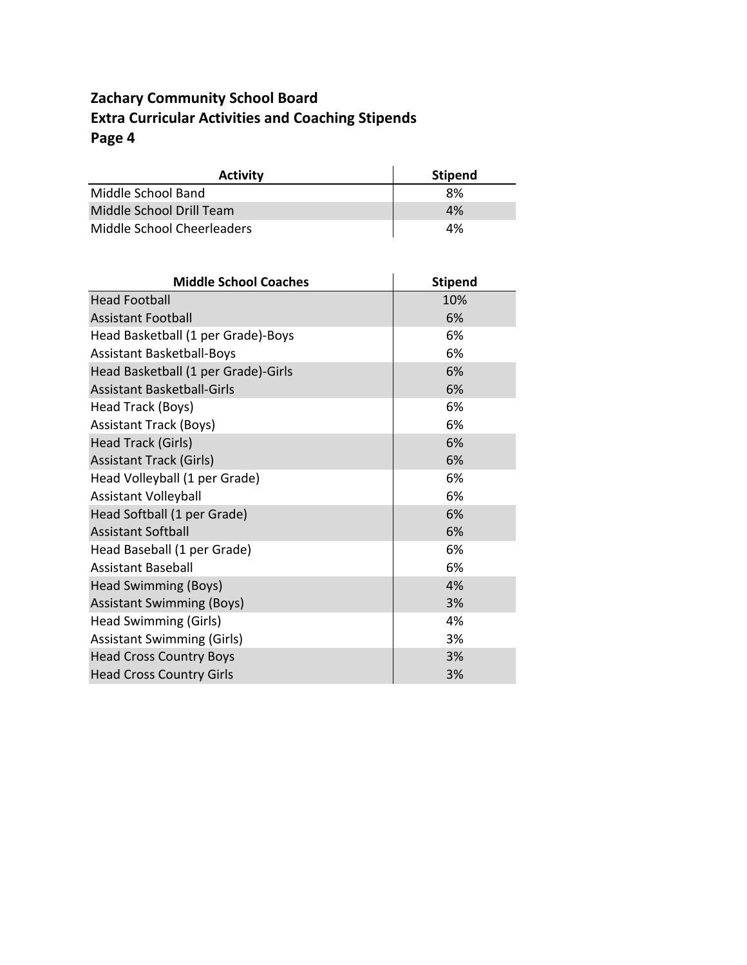### **Zachary Community School Board Extra Curricular Activities and Coaching Stipends Page 4**

| <b>Activity</b>            | <b>Stipend</b> |
|----------------------------|----------------|
| Middle School Band         | 8%             |
| Middle School Drill Team   | 4%             |
| Middle School Cheerleaders | 4%             |

| <b>Middle School Coaches</b>        | <b>Stipend</b> |
|-------------------------------------|----------------|
| <b>Head Football</b>                | 10%            |
| <b>Assistant Football</b>           | 6%             |
| Head Basketball (1 per Grade)-Boys  | 6%             |
| <b>Assistant Basketball-Boys</b>    | 6%             |
| Head Basketball (1 per Grade)-Girls | 6%             |
| <b>Assistant Basketball-Girls</b>   | 6%             |
| Head Track (Boys)                   | 6%             |
| <b>Assistant Track (Boys)</b>       | 6%             |
| Head Track (Girls)                  | 6%             |
| <b>Assistant Track (Girls)</b>      | 6%             |
| Head Volleyball (1 per Grade)       | 6%             |
| <b>Assistant Volleyball</b>         | 6%             |
| Head Softball (1 per Grade)         | 6%             |
| <b>Assistant Softball</b>           | 6%             |
| Head Baseball (1 per Grade)         | 6%             |
| <b>Assistant Baseball</b>           | 6%             |
| <b>Head Swimming (Boys)</b>         | 4%             |
| <b>Assistant Swimming (Boys)</b>    | 3%             |
| Head Swimming (Girls)               | 4%             |
| <b>Assistant Swimming (Girls)</b>   | 3%             |
| <b>Head Cross Country Boys</b>      | 3%             |
| <b>Head Cross Country Girls</b>     | 3%             |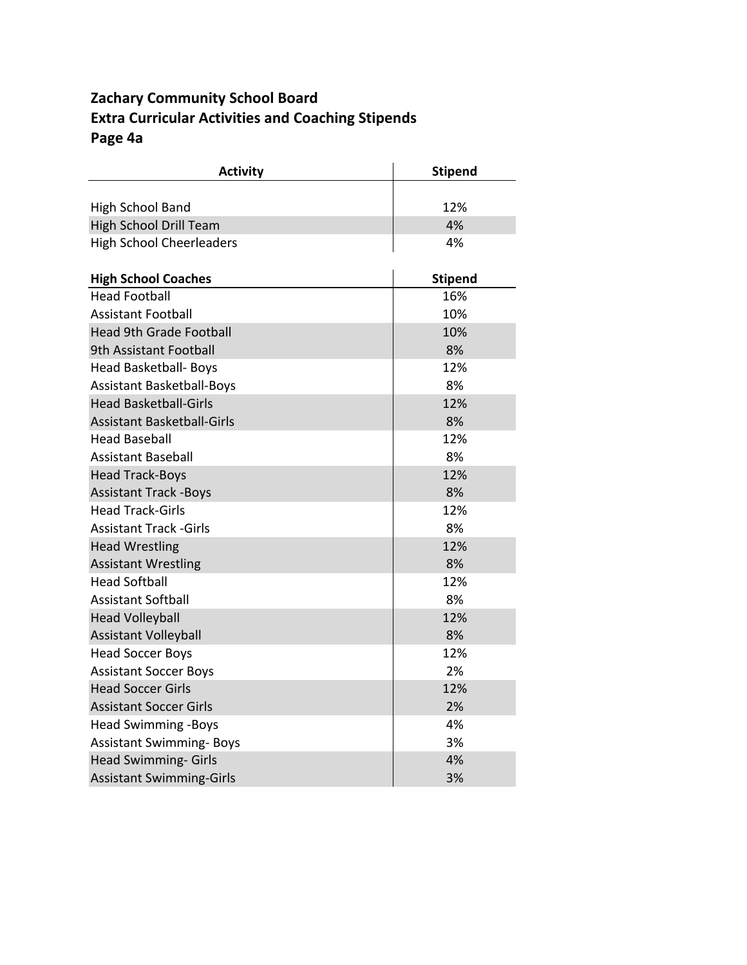### **Zachary Community School Board Extra Curricular Activities and Coaching Stipends Page 4a**

| <b>Activity</b>                   | <b>Stipend</b> |
|-----------------------------------|----------------|
|                                   |                |
| <b>High School Band</b>           | 12%            |
| <b>High School Drill Team</b>     | 4%             |
| <b>High School Cheerleaders</b>   | 4%             |
| <b>High School Coaches</b>        | <b>Stipend</b> |
| <b>Head Football</b>              | 16%            |
| <b>Assistant Football</b>         | 10%            |
| <b>Head 9th Grade Football</b>    | 10%            |
| 9th Assistant Football            | 8%             |
| Head Basketball- Boys             | 12%            |
| <b>Assistant Basketball-Boys</b>  | 8%             |
| <b>Head Basketball-Girls</b>      | 12%            |
| <b>Assistant Basketball-Girls</b> | 8%             |
| <b>Head Baseball</b>              | 12%            |
| <b>Assistant Baseball</b>         | 8%             |
| <b>Head Track-Boys</b>            | 12%            |
| <b>Assistant Track -Boys</b>      | 8%             |
| <b>Head Track-Girls</b>           | 12%            |
| <b>Assistant Track - Girls</b>    | 8%             |
| <b>Head Wrestling</b>             | 12%            |
| <b>Assistant Wrestling</b>        | 8%             |
| <b>Head Softball</b>              | 12%            |
| <b>Assistant Softball</b>         | 8%             |
| <b>Head Volleyball</b>            | 12%            |
| <b>Assistant Volleyball</b>       | 8%             |
| <b>Head Soccer Boys</b>           | 12%            |
| <b>Assistant Soccer Boys</b>      | 2%             |
| <b>Head Soccer Girls</b>          | 12%            |
| <b>Assistant Soccer Girls</b>     | 2%             |
| <b>Head Swimming -Boys</b>        | 4%             |
| <b>Assistant Swimming- Boys</b>   | 3%             |
| <b>Head Swimming- Girls</b>       | 4%             |
| <b>Assistant Swimming-Girls</b>   | 3%             |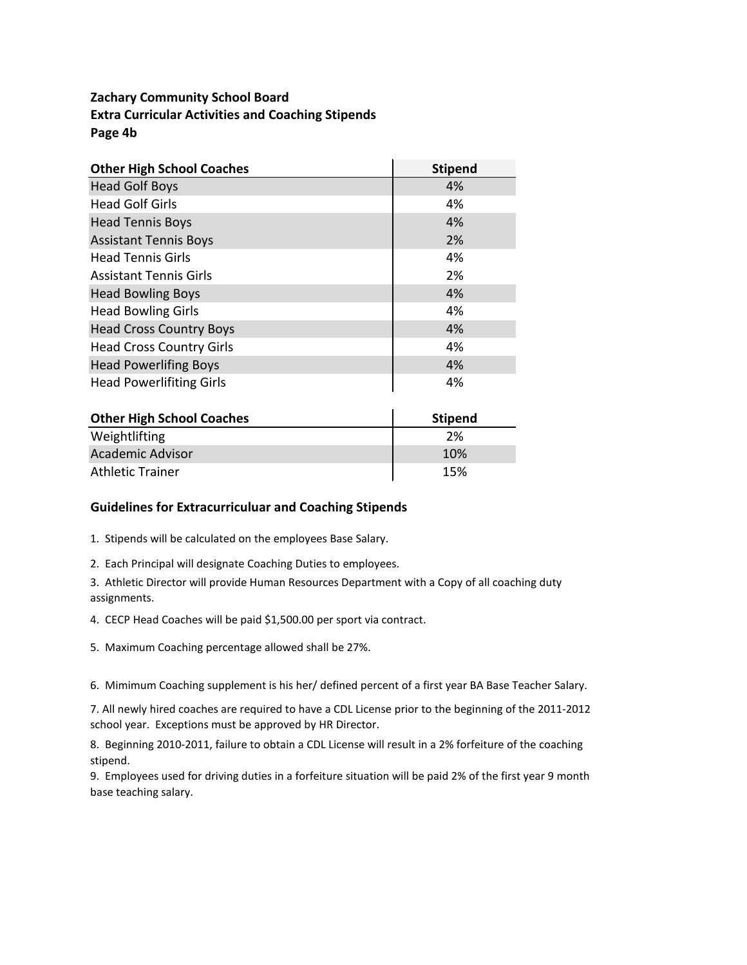#### **Zachary Community School Board Extra Curricular Activities and Coaching Stipends Page 4b**

| <b>Other High School Coaches</b> | <b>Stipend</b> |
|----------------------------------|----------------|
| <b>Head Golf Boys</b>            | 4%             |
| <b>Head Golf Girls</b>           | 4%             |
| <b>Head Tennis Boys</b>          | 4%             |
| <b>Assistant Tennis Boys</b>     | 2%             |
| <b>Head Tennis Girls</b>         | 4%             |
| <b>Assistant Tennis Girls</b>    | 2%             |
| <b>Head Bowling Boys</b>         | 4%             |
| <b>Head Bowling Girls</b>        | 4%             |
| <b>Head Cross Country Boys</b>   | 4%             |
| <b>Head Cross Country Girls</b>  | 4%             |
| <b>Head Powerlifing Boys</b>     | 4%             |
| <b>Head Powerlifiting Girls</b>  | 4%             |

| <b>Other High School Coaches</b> | <b>Stipend</b> |
|----------------------------------|----------------|
| Weightlifting                    | 2%             |
| <b>Academic Advisor</b>          | 10%            |
| <b>Athletic Trainer</b>          | 15%            |

#### **Guidelines for Extracurriculuar and Coaching Stipends**

1. Stipends will be calculated on the employees Base Salary.

2. Each Principal will designate Coaching Duties to employees.

3. Athletic Director will provide Human Resources Department with a Copy of all coaching duty assignments.

4. CECP Head Coaches will be paid \$1,500.00 per sport via contract.

5. Maximum Coaching percentage allowed shall be 27%.

6. Mimimum Coaching supplement is his her/ defined percent of a first year BA Base Teacher Salary.

7. All newly hired coaches are required to have a CDL License prior to the beginning of the 2011-2012 school year. Exceptions must be approved by HR Director.

8. Beginning 2010-2011, failure to obtain a CDL License will result in a 2% forfeiture of the coaching stipend.

9. Employees used for driving duties in a forfeiture situation will be paid 2% of the first year 9 month base teaching salary.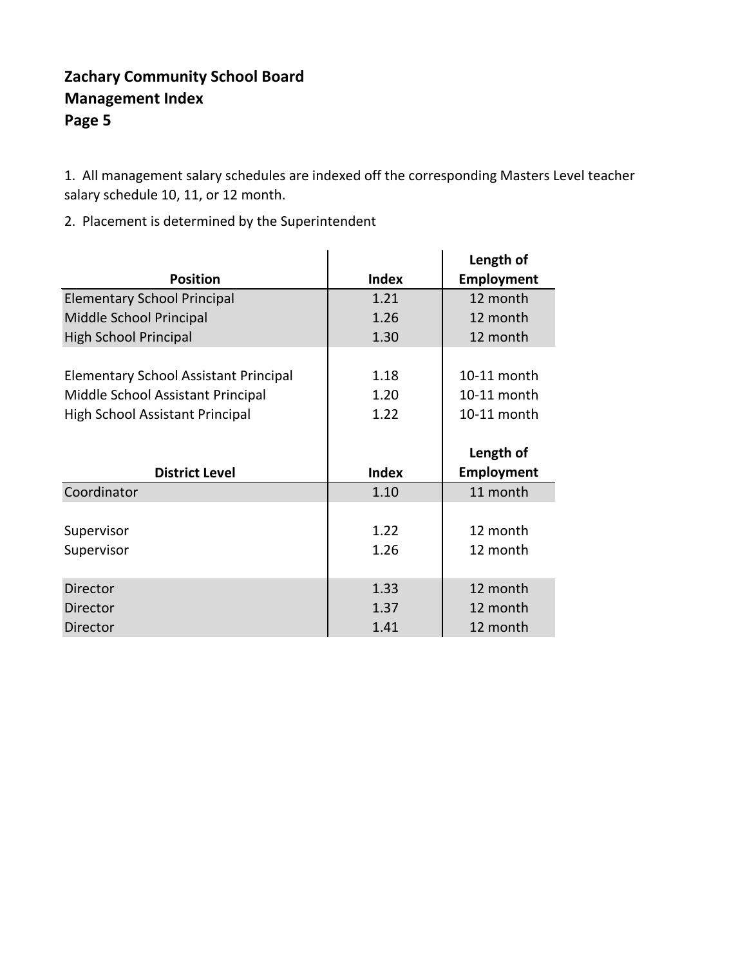### **Zachary Community School Board Management Index Page 5**

1. All management salary schedules are indexed off the corresponding Masters Level teacher salary schedule 10, 11, or 12 month.

2. Placement is determined by the Superintendent

|                                              |              | Length of         |
|----------------------------------------------|--------------|-------------------|
| <b>Position</b>                              | <b>Index</b> | <b>Employment</b> |
| <b>Elementary School Principal</b>           | 1.21         | 12 month          |
| Middle School Principal                      | 1.26         | 12 month          |
| <b>High School Principal</b>                 | 1.30         | 12 month          |
|                                              |              |                   |
| <b>Elementary School Assistant Principal</b> | 1.18         | 10-11 month       |
| Middle School Assistant Principal            | 1.20         | 10-11 month       |
| High School Assistant Principal              | 1.22         | 10-11 month       |
|                                              |              |                   |
|                                              |              |                   |
|                                              |              | Length of         |
| <b>District Level</b>                        | <b>Index</b> | <b>Employment</b> |
| Coordinator                                  | 1.10         | 11 month          |
|                                              |              |                   |
| Supervisor                                   | 1.22         | 12 month          |
| Supervisor                                   | 1.26         | 12 month          |
|                                              |              |                   |
| Director                                     | 1.33         | 12 month          |
| <b>Director</b>                              | 1.37         | 12 month          |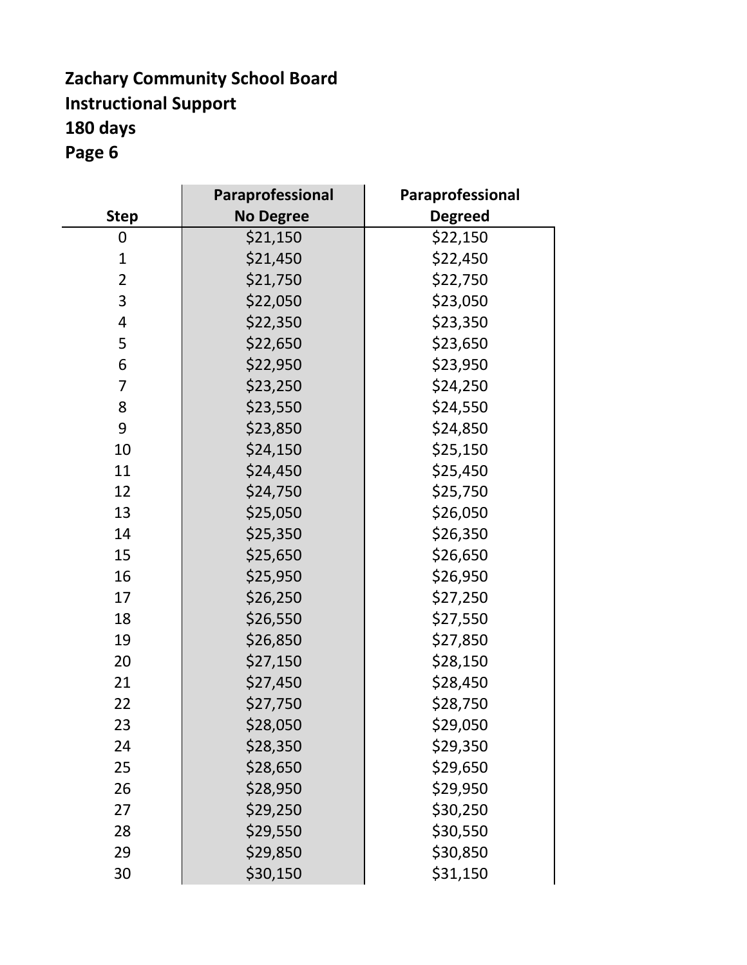### **Zachary Community School Board Instructional Support 180 days Page 6**

|                | <b>Paraprofessional</b> | Paraprofessional |
|----------------|-------------------------|------------------|
| <b>Step</b>    | <b>No Degree</b>        | <b>Degreed</b>   |
| 0              | \$21,150                | \$22,150         |
| $\mathbf{1}$   | \$21,450                | \$22,450         |
| $\overline{2}$ | \$21,750                | \$22,750         |
| 3              | \$22,050                | \$23,050         |
| 4              | \$22,350                | \$23,350         |
| 5              | \$22,650                | \$23,650         |
| 6              | \$22,950                | \$23,950         |
| 7              | \$23,250                | \$24,250         |
| 8              | \$23,550                | \$24,550         |
| 9              | \$23,850                | \$24,850         |
| 10             | \$24,150                | \$25,150         |
| 11             | \$24,450                | \$25,450         |
| 12             | \$24,750                | \$25,750         |
| 13             | \$25,050                | \$26,050         |
| 14             | \$25,350                | \$26,350         |
| 15             | \$25,650                | \$26,650         |
| 16             | \$25,950                | \$26,950         |
| 17             | \$26,250                | \$27,250         |
| 18             | \$26,550                | \$27,550         |
| 19             | \$26,850                | \$27,850         |
| 20             | \$27,150                | \$28,150         |
| 21             | \$27,450                | \$28,450         |
| 22             | \$27,750                | \$28,750         |
| 23             | \$28,050                | \$29,050         |
| 24             | \$28,350                | \$29,350         |
| 25             | \$28,650                | \$29,650         |
| 26             | \$28,950                | \$29,950         |
| 27             | \$29,250                | \$30,250         |
| 28             | \$29,550                | \$30,550         |
| 29             | \$29,850                | \$30,850         |
| 30             | \$30,150                | \$31,150         |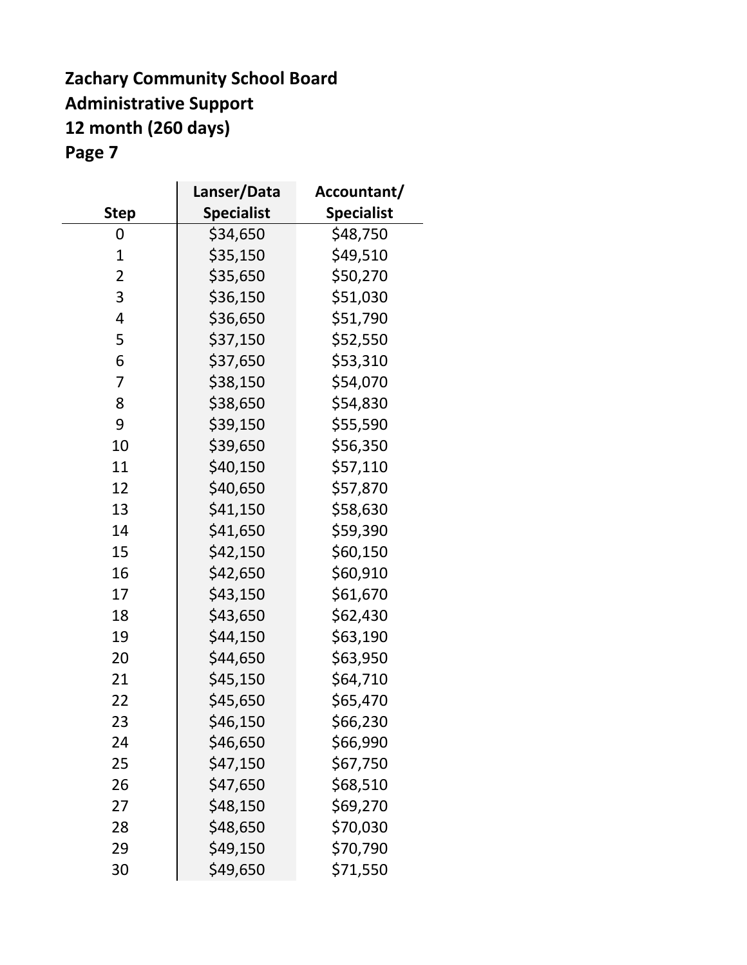### **Zachary Community School Board Administrative Support 12 month (260 days) Page 7**

 $\mathbf{r}$ 

|                | Lanser/Data       | Accountant/       |
|----------------|-------------------|-------------------|
| <b>Step</b>    | <b>Specialist</b> | <b>Specialist</b> |
| 0              | \$34,650          | \$48,750          |
| $\mathbf{1}$   | \$35,150          | \$49,510          |
| $\overline{2}$ | \$35,650          | \$50,270          |
| 3              | \$36,150          | \$51,030          |
| 4              | \$36,650          | \$51,790          |
| 5              | \$37,150          | \$52,550          |
| 6              | \$37,650          | \$53,310          |
| 7              | \$38,150          | \$54,070          |
| 8              | \$38,650          | \$54,830          |
| 9              | \$39,150          | \$55,590          |
| 10             | \$39,650          | \$56,350          |
| 11             | \$40,150          | \$57,110          |
| 12             | \$40,650          | \$57,870          |
| 13             | \$41,150          | \$58,630          |
| 14             | \$41,650          | \$59,390          |
| 15             | \$42,150          | \$60,150          |
| 16             | \$42,650          | \$60,910          |
| 17             | \$43,150          | \$61,670          |
| 18             | \$43,650          | \$62,430          |
| 19             | \$44,150          | \$63,190          |
| 20             | \$44,650          | \$63,950          |
| 21             | \$45,150          | \$64,710          |
| 22             | \$45,650          | \$65,470          |
| 23             | \$46,150          | \$66,230          |
| 24             | \$46,650          | \$66,990          |
| 25             | \$47,150          | \$67,750          |
| 26             | \$47,650          | \$68,510          |
| 27             | \$48,150          | \$69,270          |
| 28             | \$48,650          | \$70,030          |
| 29             | \$49,150          | \$70,790          |
| 30             | \$49,650          | \$71,550          |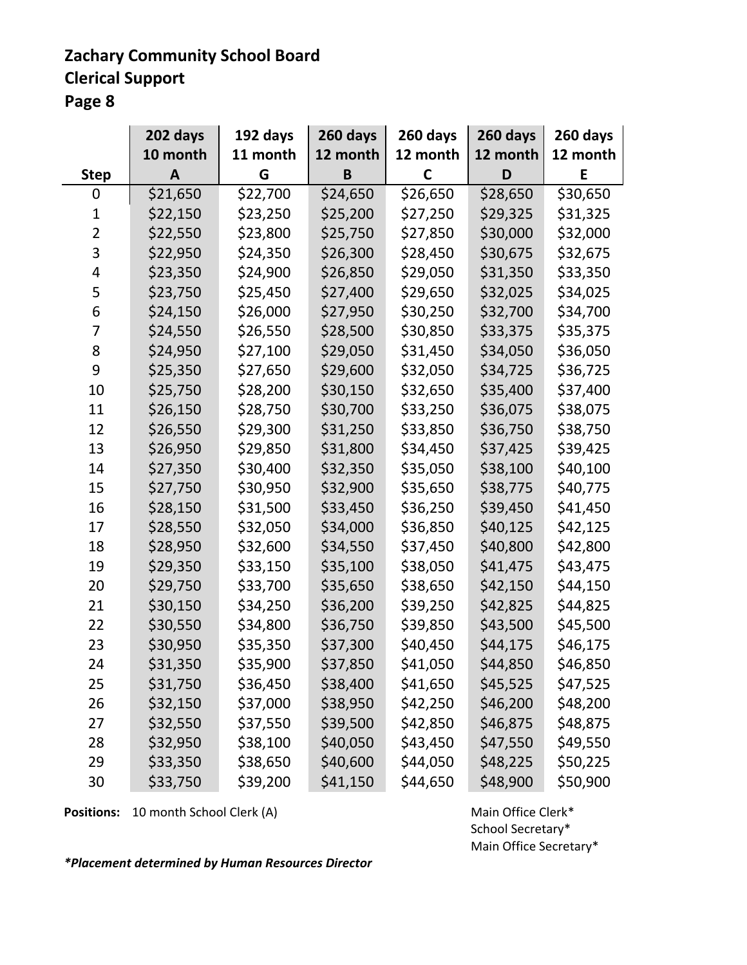# **Zachary Community School Board**

**Clerical Support** 

**Page 8**

|                | 202 days | 192 days | 260 days | 260 days | 260 days | 260 days |
|----------------|----------|----------|----------|----------|----------|----------|
|                | 10 month | 11 month | 12 month | 12 month | 12 month | 12 month |
| <b>Step</b>    | A        | G        | B        | C        | D        | E        |
| 0              | \$21,650 | \$22,700 | \$24,650 | \$26,650 | \$28,650 | \$30,650 |
| 1              | \$22,150 | \$23,250 | \$25,200 | \$27,250 | \$29,325 | \$31,325 |
| $\overline{2}$ | \$22,550 | \$23,800 | \$25,750 | \$27,850 | \$30,000 | \$32,000 |
| 3              | \$22,950 | \$24,350 | \$26,300 | \$28,450 | \$30,675 | \$32,675 |
| 4              | \$23,350 | \$24,900 | \$26,850 | \$29,050 | \$31,350 | \$33,350 |
| 5              | \$23,750 | \$25,450 | \$27,400 | \$29,650 | \$32,025 | \$34,025 |
| 6              | \$24,150 | \$26,000 | \$27,950 | \$30,250 | \$32,700 | \$34,700 |
| 7              | \$24,550 | \$26,550 | \$28,500 | \$30,850 | \$33,375 | \$35,375 |
| 8              | \$24,950 | \$27,100 | \$29,050 | \$31,450 | \$34,050 | \$36,050 |
| 9              | \$25,350 | \$27,650 | \$29,600 | \$32,050 | \$34,725 | \$36,725 |
| 10             | \$25,750 | \$28,200 | \$30,150 | \$32,650 | \$35,400 | \$37,400 |
| 11             | \$26,150 | \$28,750 | \$30,700 | \$33,250 | \$36,075 | \$38,075 |
| 12             | \$26,550 | \$29,300 | \$31,250 | \$33,850 | \$36,750 | \$38,750 |
| 13             | \$26,950 | \$29,850 | \$31,800 | \$34,450 | \$37,425 | \$39,425 |
| 14             | \$27,350 | \$30,400 | \$32,350 | \$35,050 | \$38,100 | \$40,100 |
| 15             | \$27,750 | \$30,950 | \$32,900 | \$35,650 | \$38,775 | \$40,775 |
| 16             | \$28,150 | \$31,500 | \$33,450 | \$36,250 | \$39,450 | \$41,450 |
| 17             | \$28,550 | \$32,050 | \$34,000 | \$36,850 | \$40,125 | \$42,125 |
| 18             | \$28,950 | \$32,600 | \$34,550 | \$37,450 | \$40,800 | \$42,800 |
| 19             | \$29,350 | \$33,150 | \$35,100 | \$38,050 | \$41,475 | \$43,475 |
| 20             | \$29,750 | \$33,700 | \$35,650 | \$38,650 | \$42,150 | \$44,150 |
| 21             | \$30,150 | \$34,250 | \$36,200 | \$39,250 | \$42,825 | \$44,825 |
| 22             | \$30,550 | \$34,800 | \$36,750 | \$39,850 | \$43,500 | \$45,500 |
| 23             | \$30,950 | \$35,350 | \$37,300 | \$40,450 | \$44,175 | \$46,175 |
| 24             | \$31,350 | \$35,900 | \$37,850 | \$41,050 | \$44,850 | \$46,850 |
| 25             | \$31,750 | \$36,450 | \$38,400 | \$41,650 | \$45,525 | \$47,525 |
| 26             | \$32,150 | \$37,000 | \$38,950 | \$42,250 | \$46,200 | \$48,200 |
| 27             | \$32,550 | \$37,550 | \$39,500 | \$42,850 | \$46,875 | \$48,875 |
| 28             | \$32,950 | \$38,100 | \$40,050 | \$43,450 | \$47,550 | \$49,550 |
| 29             | \$33,350 | \$38,650 | \$40,600 | \$44,050 | \$48,225 | \$50,225 |
| 30             | \$33,750 | \$39,200 | \$41,150 | \$44,650 | \$48,900 | \$50,900 |

**Positions:** 10 month School Clerk (A) Main Office Clerk\*

School Secretary\* Main Office Secretary\*

*\*Placement determined by Human Resources Director*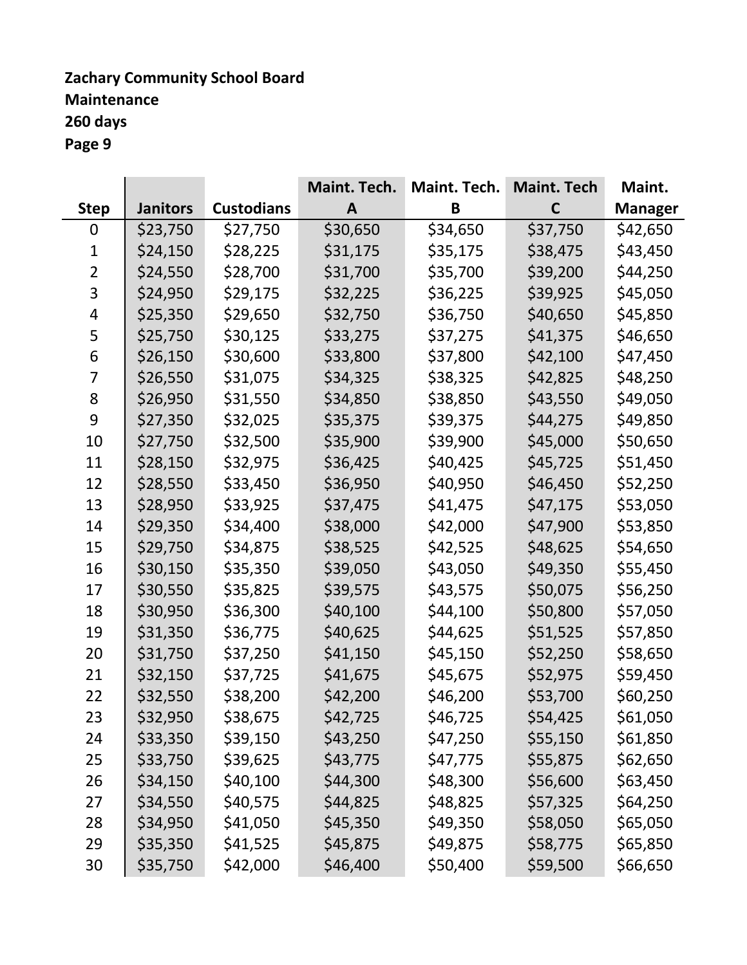### **Zachary Community School Board Maintenance 260 days Page 9**

|                |                 |                   | Maint. Tech. | Maint. Tech. | <b>Maint. Tech</b> | Maint.         |
|----------------|-----------------|-------------------|--------------|--------------|--------------------|----------------|
| <b>Step</b>    | <b>Janitors</b> | <b>Custodians</b> | A            | B            | $\mathsf{C}$       | <b>Manager</b> |
| 0              | \$23,750        | \$27,750          | \$30,650     | \$34,650     | \$37,750           | \$42,650       |
| 1              | \$24,150        | \$28,225          | \$31,175     | \$35,175     | \$38,475           | \$43,450       |
| $\overline{2}$ | \$24,550        | \$28,700          | \$31,700     | \$35,700     | \$39,200           | \$44,250       |
| 3              | \$24,950        | \$29,175          | \$32,225     | \$36,225     | \$39,925           | \$45,050       |
| 4              | \$25,350        | \$29,650          | \$32,750     | \$36,750     | \$40,650           | \$45,850       |
| 5              | \$25,750        | \$30,125          | \$33,275     | \$37,275     | \$41,375           | \$46,650       |
| 6              | \$26,150        | \$30,600          | \$33,800     | \$37,800     | \$42,100           | \$47,450       |
| 7              | \$26,550        | \$31,075          | \$34,325     | \$38,325     | \$42,825           | \$48,250       |
| 8              | \$26,950        | \$31,550          | \$34,850     | \$38,850     | \$43,550           | \$49,050       |
| 9              | \$27,350        | \$32,025          | \$35,375     | \$39,375     | \$44,275           | \$49,850       |
| 10             | \$27,750        | \$32,500          | \$35,900     | \$39,900     | \$45,000           | \$50,650       |
| 11             | \$28,150        | \$32,975          | \$36,425     | \$40,425     | \$45,725           | \$51,450       |
| 12             | \$28,550        | \$33,450          | \$36,950     | \$40,950     | \$46,450           | \$52,250       |
| 13             | \$28,950        | \$33,925          | \$37,475     | \$41,475     | \$47,175           | \$53,050       |
| 14             | \$29,350        | \$34,400          | \$38,000     | \$42,000     | \$47,900           | \$53,850       |
| 15             | \$29,750        | \$34,875          | \$38,525     | \$42,525     | \$48,625           | \$54,650       |
| 16             | \$30,150        | \$35,350          | \$39,050     | \$43,050     | \$49,350           | \$55,450       |
| 17             | \$30,550        | \$35,825          | \$39,575     | \$43,575     | \$50,075           | \$56,250       |
| 18             | \$30,950        | \$36,300          | \$40,100     | \$44,100     | \$50,800           | \$57,050       |
| 19             | \$31,350        | \$36,775          | \$40,625     | \$44,625     | \$51,525           | \$57,850       |
| 20             | \$31,750        | \$37,250          | \$41,150     | \$45,150     | \$52,250           | \$58,650       |
| 21             | \$32,150        | \$37,725          | \$41,675     | \$45,675     | \$52,975           | \$59,450       |
| 22             | \$32,550        | \$38,200          | \$42,200     | \$46,200     | \$53,700           | \$60,250       |
| 23             | \$32,950        | \$38,675          | \$42,725     | \$46,725     | \$54,425           | \$61,050       |
| 24             | \$33,350        | \$39,150          | \$43,250     | \$47,250     | \$55,150           | \$61,850       |
| 25             | \$33,750        | \$39,625          | \$43,775     | \$47,775     | \$55,875           | \$62,650       |
| 26             | \$34,150        | \$40,100          | \$44,300     | \$48,300     | \$56,600           | \$63,450       |
| 27             | \$34,550        | \$40,575          | \$44,825     | \$48,825     | \$57,325           | \$64,250       |
| 28             | \$34,950        | \$41,050          | \$45,350     | \$49,350     | \$58,050           | \$65,050       |
| 29             | \$35,350        | \$41,525          | \$45,875     | \$49,875     | \$58,775           | \$65,850       |
| 30             | \$35,750        | \$42,000          | \$46,400     | \$50,400     | \$59,500           | \$66,650       |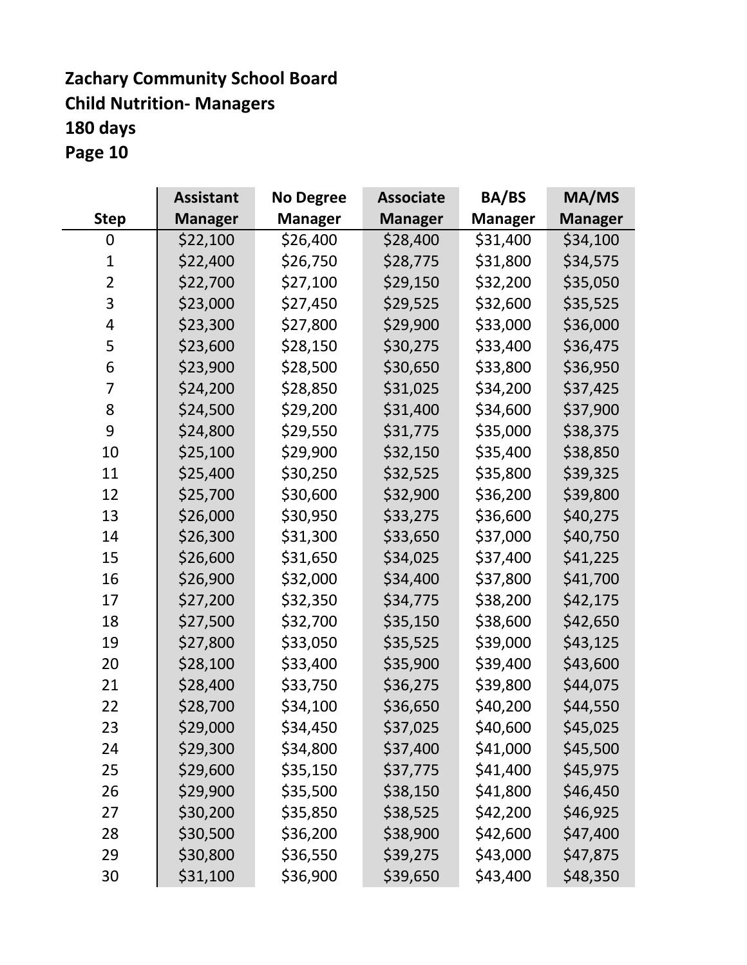### **Zachary Community School Board Child Nutrition- Managers 180 days Page 10**

|                | <b>Assistant</b> | <b>No Degree</b> | <b>Associate</b> | <b>BA/BS</b>   | MA/MS          |
|----------------|------------------|------------------|------------------|----------------|----------------|
| <b>Step</b>    | <b>Manager</b>   | Manager          | <b>Manager</b>   | <b>Manager</b> | <b>Manager</b> |
| 0              | \$22,100         | \$26,400         | \$28,400         | \$31,400       | \$34,100       |
| 1              | \$22,400         | \$26,750         | \$28,775         | \$31,800       | \$34,575       |
| $\overline{2}$ | \$22,700         | \$27,100         | \$29,150         | \$32,200       | \$35,050       |
| 3              | \$23,000         | \$27,450         | \$29,525         | \$32,600       | \$35,525       |
| 4              | \$23,300         | \$27,800         | \$29,900         | \$33,000       | \$36,000       |
| 5              | \$23,600         | \$28,150         | \$30,275         | \$33,400       | \$36,475       |
| 6              | \$23,900         | \$28,500         | \$30,650         | \$33,800       | \$36,950       |
| 7              | \$24,200         | \$28,850         | \$31,025         | \$34,200       | \$37,425       |
| 8              | \$24,500         | \$29,200         | \$31,400         | \$34,600       | \$37,900       |
| 9              | \$24,800         | \$29,550         | \$31,775         | \$35,000       | \$38,375       |
| 10             | \$25,100         | \$29,900         | \$32,150         | \$35,400       | \$38,850       |
| 11             | \$25,400         | \$30,250         | \$32,525         | \$35,800       | \$39,325       |
| 12             | \$25,700         | \$30,600         | \$32,900         | \$36,200       | \$39,800       |
| 13             | \$26,000         | \$30,950         | \$33,275         | \$36,600       | \$40,275       |
| 14             | \$26,300         | \$31,300         | \$33,650         | \$37,000       | \$40,750       |
| 15             | \$26,600         | \$31,650         | \$34,025         | \$37,400       | \$41,225       |
| 16             | \$26,900         | \$32,000         | \$34,400         | \$37,800       | \$41,700       |
| 17             | \$27,200         | \$32,350         | \$34,775         | \$38,200       | \$42,175       |
| 18             | \$27,500         | \$32,700         | \$35,150         | \$38,600       | \$42,650       |
| 19             | \$27,800         | \$33,050         | \$35,525         | \$39,000       | \$43,125       |
| 20             | \$28,100         | \$33,400         | \$35,900         | \$39,400       | \$43,600       |
| 21             | \$28,400         | \$33,750         | \$36,275         | \$39,800       | \$44,075       |
| 22             | \$28,700         | \$34,100         | \$36,650         | \$40,200       | \$44,550       |
| 23             | \$29,000         | \$34,450         | \$37,025         | \$40,600       | \$45,025       |
| 24             | \$29,300         | \$34,800         | \$37,400         | \$41,000       | \$45,500       |
| 25             | \$29,600         | \$35,150         | \$37,775         | \$41,400       | \$45,975       |
| 26             | \$29,900         | \$35,500         | \$38,150         | \$41,800       | \$46,450       |
| 27             | \$30,200         | \$35,850         | \$38,525         | \$42,200       | \$46,925       |
| 28             | \$30,500         | \$36,200         | \$38,900         | \$42,600       | \$47,400       |
| 29             | \$30,800         | \$36,550         | \$39,275         | \$43,000       | \$47,875       |
| 30             | \$31,100         | \$36,900         | \$39,650         | \$43,400       | \$48,350       |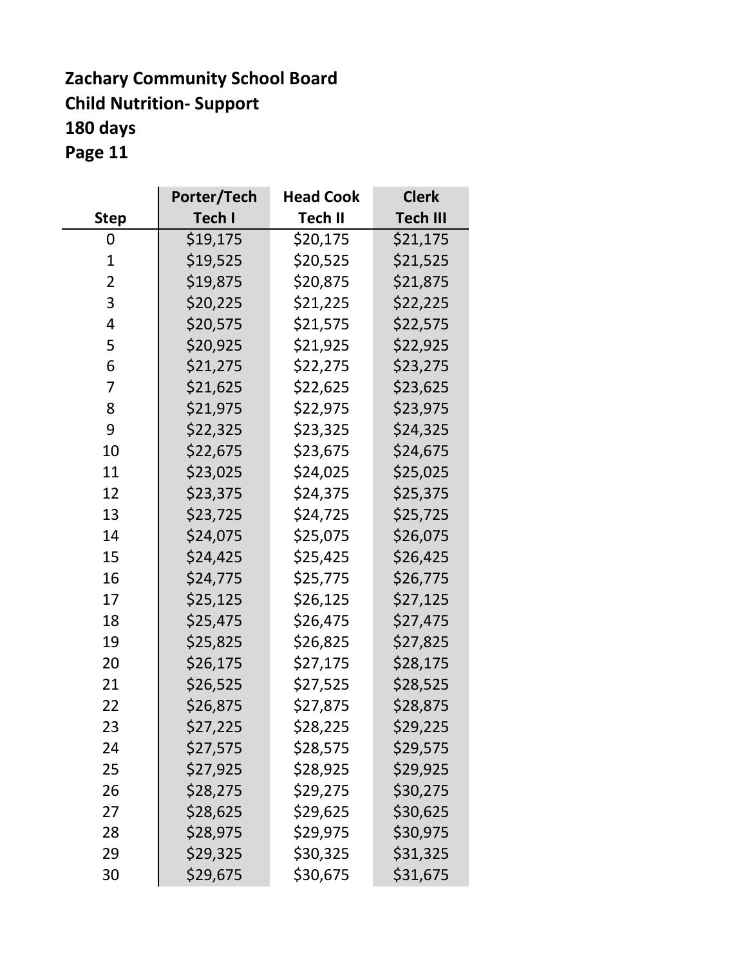# **Zachary Community School Board Child Nutrition- Support 180 days**

**Page 11**

|                | Porter/Tech | <b>Head Cook</b> | <b>Clerk</b>    |
|----------------|-------------|------------------|-----------------|
| <b>Step</b>    | Tech I      | <b>Tech II</b>   | <b>Tech III</b> |
| 0              | \$19,175    | \$20,175         | \$21,175        |
| $\mathbf{1}$   | \$19,525    | \$20,525         | \$21,525        |
| $\overline{2}$ | \$19,875    | \$20,875         | \$21,875        |
| 3              | \$20,225    | \$21,225         | \$22,225        |
| 4              | \$20,575    | \$21,575         | \$22,575        |
| 5              | \$20,925    | \$21,925         | \$22,925        |
| 6              | \$21,275    | \$22,275         | \$23,275        |
| 7              | \$21,625    | \$22,625         | \$23,625        |
| 8              | \$21,975    | \$22,975         | \$23,975        |
| 9              | \$22,325    | \$23,325         | \$24,325        |
| 10             | \$22,675    | \$23,675         | \$24,675        |
| 11             | \$23,025    | \$24,025         | \$25,025        |
| 12             | \$23,375    | \$24,375         | \$25,375        |
| 13             | \$23,725    | \$24,725         | \$25,725        |
| 14             | \$24,075    | \$25,075         | \$26,075        |
| 15             | \$24,425    | \$25,425         | \$26,425        |
| 16             | \$24,775    | \$25,775         | \$26,775        |
| 17             | \$25,125    | \$26,125         | \$27,125        |
| 18             | \$25,475    | \$26,475         | \$27,475        |
| 19             | \$25,825    | \$26,825         | \$27,825        |
| 20             | \$26,175    | \$27,175         | \$28,175        |
| 21             | \$26,525    | \$27,525         | \$28,525        |
| 22             | \$26,875    | \$27,875         | \$28,875        |
| 23             | \$27,225    | \$28,225         | \$29,225        |
| 24             | \$27,575    | \$28,575         | \$29,575        |
| 25             | \$27,925    | \$28,925         | \$29,925        |
| 26             | \$28,275    | \$29,275         | \$30,275        |
| 27             | \$28,625    | \$29,625         | \$30,625        |
| 28             | \$28,975    | \$29,975         | \$30,975        |
| 29             | \$29,325    | \$30,325         | \$31,325        |
| 30             | \$29,675    | \$30,675         | \$31,675        |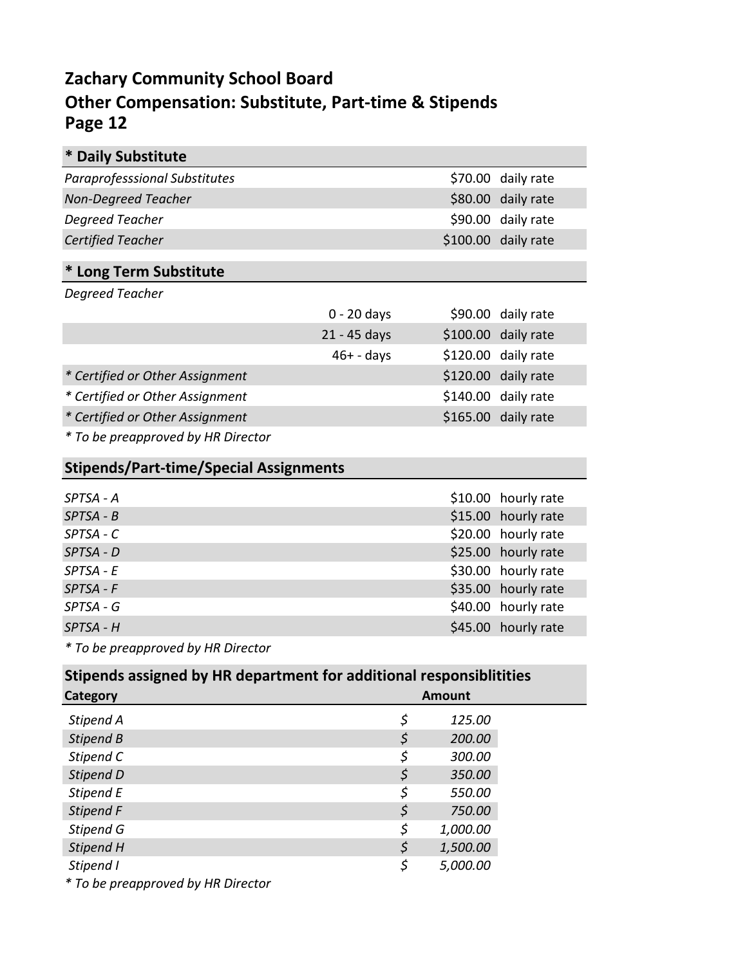### **Zachary Community School Board Other Compensation: Substitute, Part-time & Stipends Page 12**

| <b>Daily Substitute</b><br>∗                  |               |                     |  |
|-----------------------------------------------|---------------|---------------------|--|
| <b>Paraprofesssional Substitutes</b>          |               | \$70.00 daily rate  |  |
| <b>Non-Degreed Teacher</b>                    |               | \$80.00 daily rate  |  |
| Degreed Teacher                               |               | \$90.00 daily rate  |  |
| <b>Certified Teacher</b>                      |               | \$100.00 daily rate |  |
| * Long Term Substitute                        |               |                     |  |
| Degreed Teacher                               |               |                     |  |
|                                               | $0 - 20$ days | \$90.00 daily rate  |  |
|                                               | 21 - 45 days  | \$100.00 daily rate |  |
|                                               | $46+ - days$  | \$120.00 daily rate |  |
| * Certified or Other Assignment               |               | \$120.00 daily rate |  |
| * Certified or Other Assignment               |               | \$140.00 daily rate |  |
| * Certified or Other Assignment               |               | \$165.00 daily rate |  |
| * To be preapproved by HR Director            |               |                     |  |
| <b>Stipends/Part-time/Special Assignments</b> |               |                     |  |

| SPTSA - A   | \$10.00 hourly rate |
|-------------|---------------------|
| $SPTSA - B$ | \$15.00 hourly rate |
| SPTSA - C   | \$20.00 hourly rate |
| $SPTSA - D$ | \$25.00 hourly rate |
| $SPTSA - E$ | \$30.00 hourly rate |
| $SPTSA - F$ | \$35.00 hourly rate |
| SPTSA - G   | \$40.00 hourly rate |
| $SPTSA - H$ | \$45.00 hourly rate |

*\* To be preapproved by HR Director*

| Stipends assigned by HR department for additional responsiblitities |    |          |  |
|---------------------------------------------------------------------|----|----------|--|
| Category                                                            |    | Amount   |  |
| Stipend A                                                           | \$ | 125.00   |  |
| Stipend B                                                           | \$ | 200.00   |  |
| Stipend C                                                           | \$ | 300.00   |  |
| Stipend D                                                           | \$ | 350.00   |  |
| Stipend E                                                           | \$ | 550.00   |  |
| Stipend F                                                           | \$ | 750.00   |  |
| Stipend G                                                           | \$ | 1,000.00 |  |
| Stipend H                                                           | \$ | 1,500.00 |  |
| Stipend I                                                           | \$ | 5,000.00 |  |
| $*$ To be programs ind by $\overline{ID}$ Director                  |    |          |  |

*\* To be preapproved by HR Director*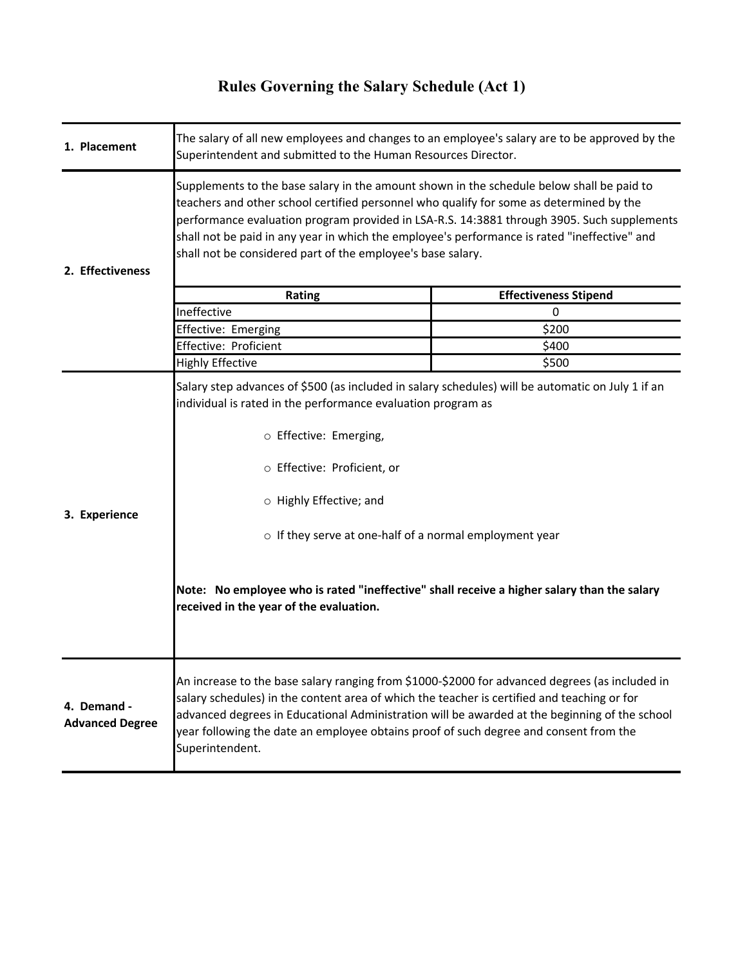# **Rules Governing the Salary Schedule (Act 1)**

| 1. Placement                          | The salary of all new employees and changes to an employee's salary are to be approved by the<br>Superintendent and submitted to the Human Resources Director.                                                                                                                                                                                                                                                                                            |                              |  |
|---------------------------------------|-----------------------------------------------------------------------------------------------------------------------------------------------------------------------------------------------------------------------------------------------------------------------------------------------------------------------------------------------------------------------------------------------------------------------------------------------------------|------------------------------|--|
| 2. Effectiveness                      | Supplements to the base salary in the amount shown in the schedule below shall be paid to<br>teachers and other school certified personnel who qualify for some as determined by the<br>performance evaluation program provided in LSA-R.S. 14:3881 through 3905. Such supplements<br>shall not be paid in any year in which the employee's performance is rated "ineffective" and<br>shall not be considered part of the employee's base salary.         |                              |  |
|                                       | Rating                                                                                                                                                                                                                                                                                                                                                                                                                                                    | <b>Effectiveness Stipend</b> |  |
|                                       | Ineffective                                                                                                                                                                                                                                                                                                                                                                                                                                               | 0                            |  |
|                                       | Effective: Emerging                                                                                                                                                                                                                                                                                                                                                                                                                                       | \$200                        |  |
|                                       | Effective: Proficient                                                                                                                                                                                                                                                                                                                                                                                                                                     | \$400                        |  |
|                                       | <b>Highly Effective</b>                                                                                                                                                                                                                                                                                                                                                                                                                                   | \$500                        |  |
| 3. Experience                         | Salary step advances of \$500 (as included in salary schedules) will be automatic on July 1 if an<br>individual is rated in the performance evaluation program as<br>o Effective: Emerging,<br>o Effective: Proficient, or<br>o Highly Effective; and<br>o If they serve at one-half of a normal employment year<br>Note: No employee who is rated "ineffective" shall receive a higher salary than the salary<br>received in the year of the evaluation. |                              |  |
| 4. Demand -<br><b>Advanced Degree</b> | An increase to the base salary ranging from \$1000-\$2000 for advanced degrees (as included in<br>salary schedules) in the content area of which the teacher is certified and teaching or for<br>advanced degrees in Educational Administration will be awarded at the beginning of the school<br>year following the date an employee obtains proof of such degree and consent from the<br>Superintendent.                                                |                              |  |